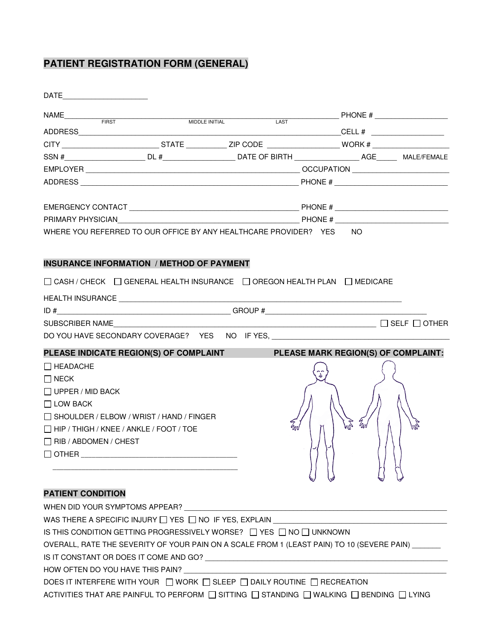## **PATIENT REGISTRATION FORM (GENERAL)**

| DATE<br><u> 1989 - Jan Barbara, manazarta </u> |                                                                                                                                                                                  |                                     |           |      |
|------------------------------------------------|----------------------------------------------------------------------------------------------------------------------------------------------------------------------------------|-------------------------------------|-----------|------|
|                                                |                                                                                                                                                                                  |                                     |           |      |
|                                                |                                                                                                                                                                                  |                                     |           |      |
|                                                |                                                                                                                                                                                  |                                     |           |      |
|                                                |                                                                                                                                                                                  |                                     |           |      |
|                                                |                                                                                                                                                                                  |                                     |           |      |
|                                                |                                                                                                                                                                                  |                                     |           |      |
|                                                |                                                                                                                                                                                  |                                     |           |      |
|                                                |                                                                                                                                                                                  |                                     |           |      |
|                                                | <b>INSURANCE INFORMATION / METHOD OF PAYMENT</b><br>□ CASH / CHECK □ GENERAL HEALTH INSURANCE □ OREGON HEALTH PLAN □ MEDICARE                                                    |                                     |           |      |
|                                                |                                                                                                                                                                                  |                                     |           |      |
|                                                |                                                                                                                                                                                  |                                     |           |      |
|                                                | $\texttt{SUBSCRIBER NAME}\_\_\_\_\_\_\_\_\_$                                                                                                                                     |                                     |           |      |
|                                                | DO YOU HAVE SECONDARY COVERAGE? YES NO IF YES,                                                                                                                                   |                                     |           |      |
|                                                | PLEASE INDICATE REGION(S) OF COMPLAINT                                                                                                                                           | PLEASE MARK REGION(S) OF COMPLAINT: |           |      |
| $\Box$ HEADACHE                                |                                                                                                                                                                                  |                                     |           |      |
| $\Box$ NECK                                    |                                                                                                                                                                                  |                                     |           |      |
| $\Box$ UPPER / MID BACK                        |                                                                                                                                                                                  |                                     |           |      |
| $\Box$ LOW BACK                                |                                                                                                                                                                                  |                                     |           |      |
|                                                | $\Box$ SHOULDER / ELBOW / WRIST / HAND / FINGER                                                                                                                                  | z<br>Uni                            | Gud<br>EN | Evol |
|                                                | $\Box$ HIP / THIGH / KNEE / ANKLE / FOOT / TOE                                                                                                                                   |                                     |           |      |
| $\Box$ RIB / ABDOMEN / CHEST                   |                                                                                                                                                                                  |                                     |           |      |
| $\Box$ OTHER ________                          |                                                                                                                                                                                  |                                     |           |      |
|                                                |                                                                                                                                                                                  |                                     |           |      |
| <b>PATIENT CONDITION</b>                       |                                                                                                                                                                                  |                                     |           |      |
|                                                |                                                                                                                                                                                  |                                     |           |      |
|                                                | WHEN DID YOUR SYMPTOMS APPEAR?                                                                                                                                                   |                                     |           |      |
|                                                | WAS THERE A SPECIFIC INJURY $\Box$ YES $\Box$ NO IF YES, EXPLAIN                                                                                                                 |                                     |           |      |
|                                                | IS THIS CONDITION GETTING PROGRESSIVELY WORSE? $\Box$ YES $\Box$ NO $\Box$ UNKNOWN<br>OVERALL, RATE THE SEVERITY OF YOUR PAIN ON A SCALE FROM 1 (LEAST PAIN) TO 10 (SEVERE PAIN) |                                     |           |      |
|                                                |                                                                                                                                                                                  |                                     |           |      |
|                                                | HOW OFTEN DO YOU HAVE THIS PAIN?                                                                                                                                                 |                                     |           |      |
|                                                | DOES IT INTERFERE WITH YOUR □ WORK □ SLEEP □ DAILY ROUTINE □ RECREATION                                                                                                          |                                     |           |      |
|                                                |                                                                                                                                                                                  |                                     |           |      |
|                                                | ACTIVITIES THAT ARE PAINFUL TO PERFORM $\Box$ SITTING $\Box$ STANDING $\Box$ WALKING $\Box$ BENDING $\Box$ LYING                                                                 |                                     |           |      |